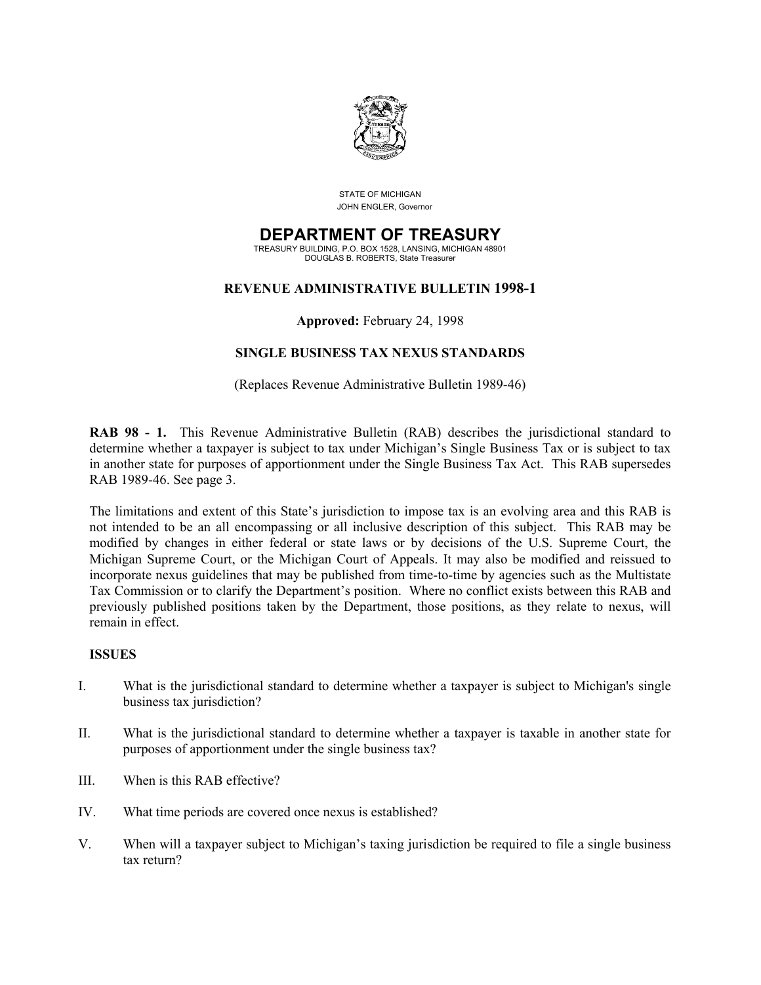

STATE OF MICHIGAN JOHN ENGLER, Governor

# **DEPARTMENT OF TREASURY**

TREASURY BUILDING, P.O. BOX 1528, LANSING, MICHIGAN 48901 DOUGLAS B. ROBERTS, State Treasurer

# **REVENUE ADMINISTRATIVE BULLETIN 1998-1**

# **Approved:** February 24, 1998

# **SINGLE BUSINESS TAX NEXUS STANDARDS**

# (Replaces Revenue Administrative Bulletin 1989-46)

**RAB 98 - 1.** This Revenue Administrative Bulletin (RAB) describes the jurisdictional standard to determine whether a taxpayer is subject to tax under Michigan's Single Business Tax or is subject to tax in another state for purposes of apportionment under the Single Business Tax Act. This RAB supersedes RAB 1989-46. See page 3.

The limitations and extent of this State's jurisdiction to impose tax is an evolving area and this RAB is not intended to be an all encompassing or all inclusive description of this subject. This RAB may be modified by changes in either federal or state laws or by decisions of the U.S. Supreme Court, the Michigan Supreme Court, or the Michigan Court of Appeals. It may also be modified and reissued to incorporate nexus guidelines that may be published from time-to-time by agencies such as the Multistate Tax Commission or to clarify the Department's position. Where no conflict exists between this RAB and previously published positions taken by the Department, those positions, as they relate to nexus, will remain in effect.

# **ISSUES**

- I. What is the jurisdictional standard to determine whether a taxpayer is subject to Michigan's single business tax jurisdiction?
- II. What is the jurisdictional standard to determine whether a taxpayer is taxable in another state for purposes of apportionment under the single business tax?
- III. When is this RAB effective?
- IV. What time periods are covered once nexus is established?
- V. When will a taxpayer subject to Michigan's taxing jurisdiction be required to file a single business tax return?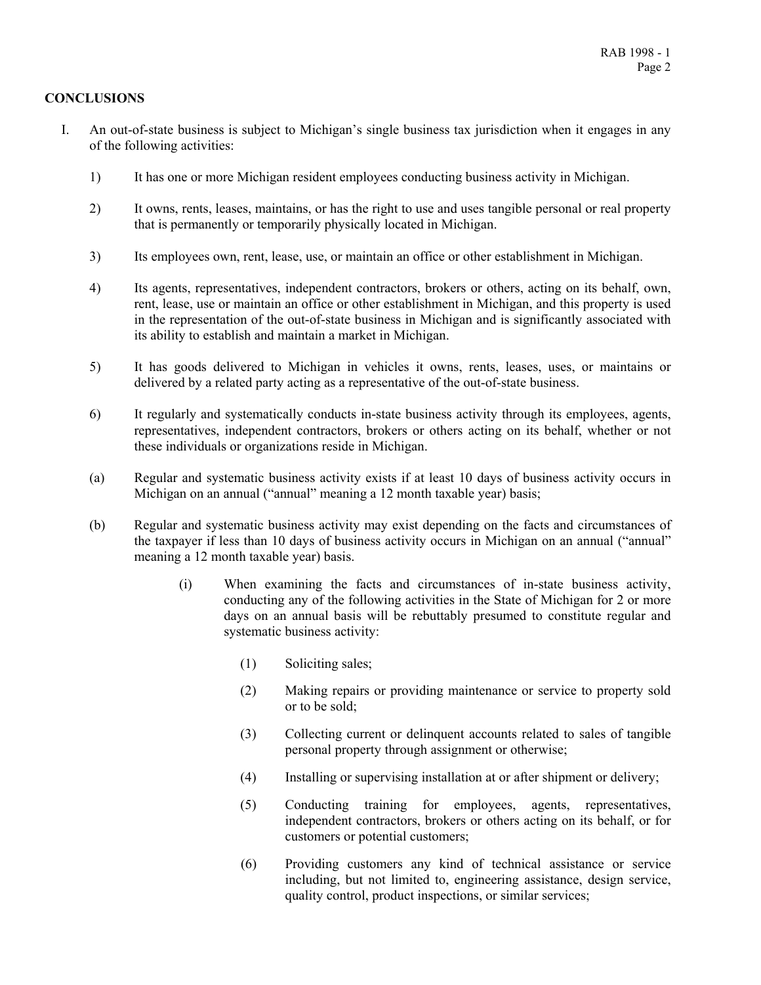# **CONCLUSIONS**

- I. An out-of-state business is subject to Michigan's single business tax jurisdiction when it engages in any of the following activities:
	- 1) It has one or more Michigan resident employees conducting business activity in Michigan.
	- 2) It owns, rents, leases, maintains, or has the right to use and uses tangible personal or real property that is permanently or temporarily physically located in Michigan.
	- 3) Its employees own, rent, lease, use, or maintain an office or other establishment in Michigan.
	- 4) Its agents, representatives, independent contractors, brokers or others, acting on its behalf, own, rent, lease, use or maintain an office or other establishment in Michigan, and this property is used in the representation of the out-of-state business in Michigan and is significantly associated with its ability to establish and maintain a market in Michigan.
	- 5) It has goods delivered to Michigan in vehicles it owns, rents, leases, uses, or maintains or delivered by a related party acting as a representative of the out-of-state business.
	- 6) It regularly and systematically conducts in-state business activity through its employees, agents, representatives, independent contractors, brokers or others acting on its behalf, whether or not these individuals or organizations reside in Michigan.
	- (a) Regular and systematic business activity exists if at least 10 days of business activity occurs in Michigan on an annual ("annual" meaning a 12 month taxable year) basis;
	- (b) Regular and systematic business activity may exist depending on the facts and circumstances of the taxpayer if less than 10 days of business activity occurs in Michigan on an annual ("annual" meaning a 12 month taxable year) basis.
		- (i) When examining the facts and circumstances of in-state business activity, conducting any of the following activities in the State of Michigan for 2 or more days on an annual basis will be rebuttably presumed to constitute regular and systematic business activity:
			- (1) Soliciting sales;
			- (2) Making repairs or providing maintenance or service to property sold or to be sold;
			- (3) Collecting current or delinquent accounts related to sales of tangible personal property through assignment or otherwise;
			- (4) Installing or supervising installation at or after shipment or delivery;
			- (5) Conducting training for employees, agents, representatives, independent contractors, brokers or others acting on its behalf, or for customers or potential customers;
			- (6) Providing customers any kind of technical assistance or service including, but not limited to, engineering assistance, design service, quality control, product inspections, or similar services;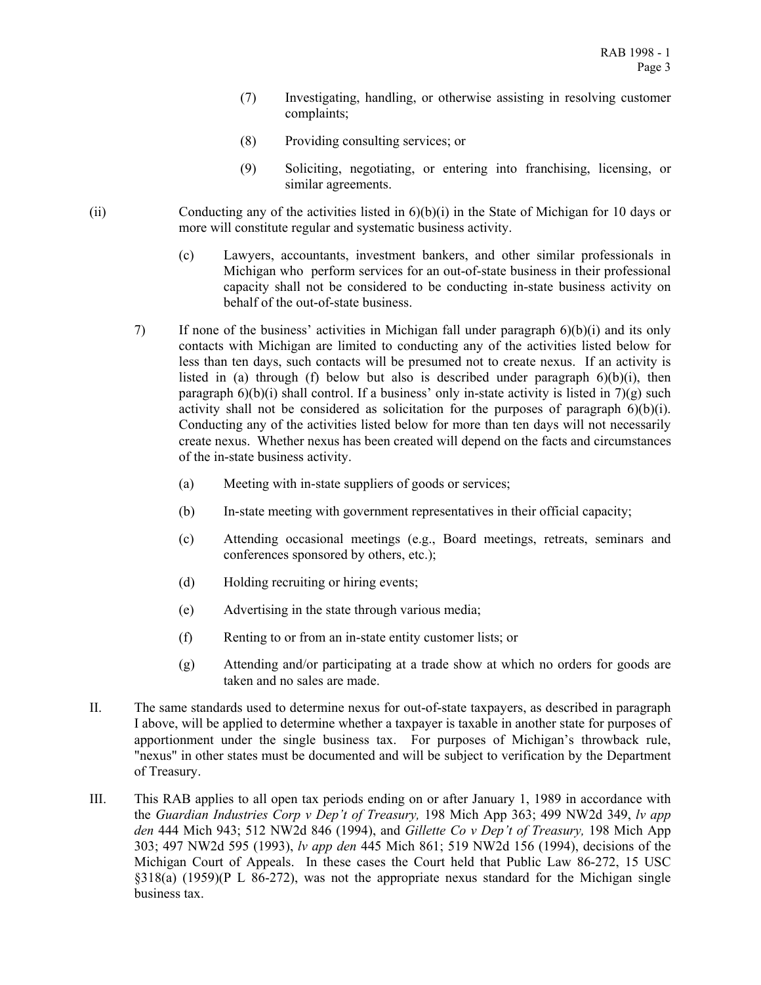- (7) Investigating, handling, or otherwise assisting in resolving customer complaints;
- (8) Providing consulting services; or
- (9) Soliciting, negotiating, or entering into franchising, licensing, or similar agreements.
- (ii) Conducting any of the activities listed in 6)(b)(i) in the State of Michigan for 10 days or more will constitute regular and systematic business activity.
	- (c) Lawyers, accountants, investment bankers, and other similar professionals in Michigan who perform services for an out-of-state business in their professional capacity shall not be considered to be conducting in-state business activity on behalf of the out-of-state business.
	- 7) If none of the business' activities in Michigan fall under paragraph 6)(b)(i) and its only contacts with Michigan are limited to conducting any of the activities listed below for less than ten days, such contacts will be presumed not to create nexus. If an activity is listed in (a) through (f) below but also is described under paragraph  $6)(b)(i)$ , then paragraph  $6(6)(i)$  shall control. If a business' only in-state activity is listed in  $7(2)$  such activity shall not be considered as solicitation for the purposes of paragraph 6)(b)(i). Conducting any of the activities listed below for more than ten days will not necessarily create nexus. Whether nexus has been created will depend on the facts and circumstances of the in-state business activity.
		- (a) Meeting with in-state suppliers of goods or services;
		- (b) In-state meeting with government representatives in their official capacity;
		- (c) Attending occasional meetings (e.g., Board meetings, retreats, seminars and conferences sponsored by others, etc.);
		- (d) Holding recruiting or hiring events;
		- (e) Advertising in the state through various media;
		- (f) Renting to or from an in-state entity customer lists; or
		- (g) Attending and/or participating at a trade show at which no orders for goods are taken and no sales are made.
- II. The same standards used to determine nexus for out-of-state taxpayers, as described in paragraph I above, will be applied to determine whether a taxpayer is taxable in another state for purposes of apportionment under the single business tax. For purposes of Michigan's throwback rule, "nexus" in other states must be documented and will be subject to verification by the Department of Treasury.
- III. This RAB applies to all open tax periods ending on or after January 1, 1989 in accordance with the *Guardian Industries Corp v Dep't of Treasury,* 198 Mich App 363; 499 NW2d 349, *lv app den* 444 Mich 943; 512 NW2d 846 (1994), and *Gillette Co v Dep't of Treasury,* 198 Mich App 303; 497 NW2d 595 (1993), *lv app den* 445 Mich 861; 519 NW2d 156 (1994), decisions of the Michigan Court of Appeals. In these cases the Court held that Public Law 86-272, 15 USC §318(a) (1959)(P L 86-272), was not the appropriate nexus standard for the Michigan single business tax.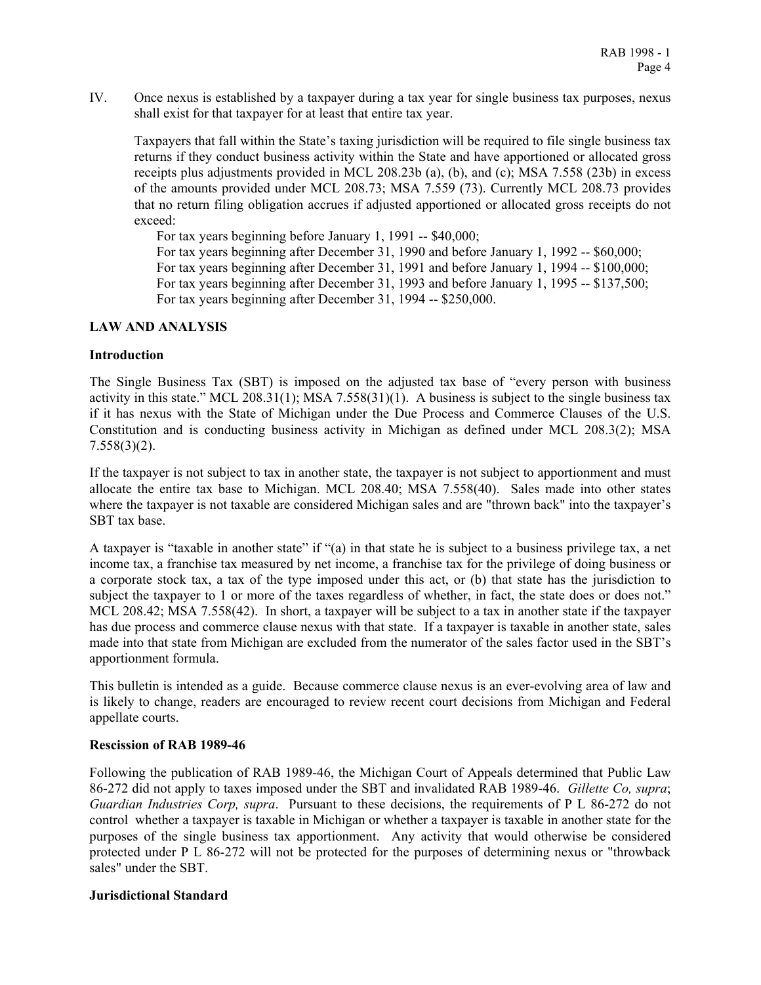IV. Once nexus is established by a taxpayer during a tax year for single business tax purposes, nexus shall exist for that taxpayer for at least that entire tax year.

Taxpayers that fall within the State's taxing jurisdiction will be required to file single business tax returns if they conduct business activity within the State and have apportioned or allocated gross receipts plus adjustments provided in MCL 208.23b (a), (b), and (c); MSA 7.558 (23b) in excess of the amounts provided under MCL 208.73; MSA 7.559 (73). Currently MCL 208.73 provides that no return filing obligation accrues if adjusted apportioned or allocated gross receipts do not exceed:

For tax years beginning before January 1, 1991 -- \$40,000; For tax years beginning after December 31, 1990 and before January 1, 1992 -- \$60,000; For tax years beginning after December 31, 1991 and before January 1, 1994 -- \$100,000; For tax years beginning after December 31, 1993 and before January 1, 1995 -- \$137,500; For tax years beginning after December 31, 1994 -- \$250,000.

#### **LAW AND ANALYSIS**

#### **Introduction**

The Single Business Tax (SBT) is imposed on the adjusted tax base of "every person with business activity in this state." MCL 208.31(1); MSA 7.558(31)(1). A business is subject to the single business tax if it has nexus with the State of Michigan under the Due Process and Commerce Clauses of the U.S. Constitution and is conducting business activity in Michigan as defined under MCL 208.3(2); MSA 7.558(3)(2).

If the taxpayer is not subject to tax in another state, the taxpayer is not subject to apportionment and must allocate the entire tax base to Michigan. MCL 208.40; MSA 7.558(40). Sales made into other states where the taxpayer is not taxable are considered Michigan sales and are "thrown back" into the taxpayer's SBT tax base.

A taxpayer is "taxable in another state" if "(a) in that state he is subject to a business privilege tax, a net income tax, a franchise tax measured by net income, a franchise tax for the privilege of doing business or a corporate stock tax, a tax of the type imposed under this act, or (b) that state has the jurisdiction to subject the taxpayer to 1 or more of the taxes regardless of whether, in fact, the state does or does not." MCL 208.42; MSA 7.558(42). In short, a taxpayer will be subject to a tax in another state if the taxpayer has due process and commerce clause nexus with that state. If a taxpayer is taxable in another state, sales made into that state from Michigan are excluded from the numerator of the sales factor used in the SBT's apportionment formula.

This bulletin is intended as a guide. Because commerce clause nexus is an ever-evolving area of law and is likely to change, readers are encouraged to review recent court decisions from Michigan and Federal appellate courts.

# **Rescission of RAB 1989-46**

Following the publication of RAB 1989-46, the Michigan Court of Appeals determined that Public Law 86-272 did not apply to taxes imposed under the SBT and invalidated RAB 1989-46. *Gillette Co, supra*; *Guardian Industries Corp, supra*. Pursuant to these decisions, the requirements of P L 86-272 do not control whether a taxpayer is taxable in Michigan or whether a taxpayer is taxable in another state for the purposes of the single business tax apportionment. Any activity that would otherwise be considered protected under P L 86-272 will not be protected for the purposes of determining nexus or "throwback sales" under the SBT.

# **Jurisdictional Standard**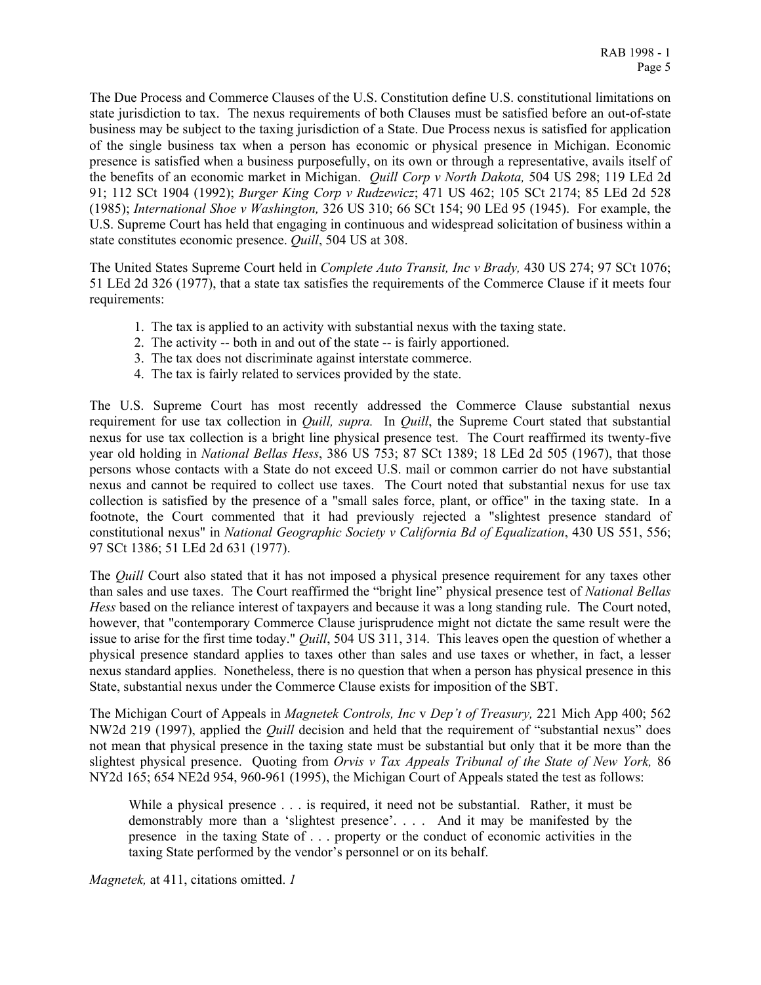The Due Process and Commerce Clauses of the U.S. Constitution define U.S. constitutional limitations on state jurisdiction to tax. The nexus requirements of both Clauses must be satisfied before an out-of-state business may be subject to the taxing jurisdiction of a State. Due Process nexus is satisfied for application of the single business tax when a person has economic or physical presence in Michigan. Economic presence is satisfied when a business purposefully, on its own or through a representative, avails itself of the benefits of an economic market in Michigan. *Quill Corp v North Dakota,* 504 US 298; 119 LEd 2d 91; 112 SCt 1904 (1992); *Burger King Corp v Rudzewicz*; 471 US 462; 105 SCt 2174; 85 LEd 2d 528 (1985); *International Shoe v Washington,* 326 US 310; 66 SCt 154; 90 LEd 95 (1945). For example, the U.S. Supreme Court has held that engaging in continuous and widespread solicitation of business within a state constitutes economic presence. *Quill*, 504 US at 308.

The United States Supreme Court held in *Complete Auto Transit, Inc v Brady,* 430 US 274; 97 SCt 1076; 51 LEd 2d 326 (1977), that a state tax satisfies the requirements of the Commerce Clause if it meets four requirements:

- 1. The tax is applied to an activity with substantial nexus with the taxing state.
- 2. The activity -- both in and out of the state -- is fairly apportioned.
- 3. The tax does not discriminate against interstate commerce.
- 4. The tax is fairly related to services provided by the state.

The U.S. Supreme Court has most recently addressed the Commerce Clause substantial nexus requirement for use tax collection in *Quill, supra.* In *Quill*, the Supreme Court stated that substantial nexus for use tax collection is a bright line physical presence test. The Court reaffirmed its twenty-five year old holding in *National Bellas Hess*, 386 US 753; 87 SCt 1389; 18 LEd 2d 505 (1967), that those persons whose contacts with a State do not exceed U.S. mail or common carrier do not have substantial nexus and cannot be required to collect use taxes. The Court noted that substantial nexus for use tax collection is satisfied by the presence of a "small sales force, plant, or office" in the taxing state. In a footnote, the Court commented that it had previously rejected a "slightest presence standard of constitutional nexus" in *National Geographic Society v California Bd of Equalization*, 430 US 551, 556; 97 SCt 1386; 51 LEd 2d 631 (1977).

The *Quill* Court also stated that it has not imposed a physical presence requirement for any taxes other than sales and use taxes. The Court reaffirmed the "bright line" physical presence test of *National Bellas Hess* based on the reliance interest of taxpayers and because it was a long standing rule. The Court noted, however, that "contemporary Commerce Clause jurisprudence might not dictate the same result were the issue to arise for the first time today." *Quill*, 504 US 311, 314. This leaves open the question of whether a physical presence standard applies to taxes other than sales and use taxes or whether, in fact, a lesser nexus standard applies. Nonetheless, there is no question that when a person has physical presence in this State, substantial nexus under the Commerce Clause exists for imposition of the SBT.

The Michigan Court of Appeals in *Magnetek Controls, Inc* v *Dep't of Treasury,* 221 Mich App 400; 562 NW2d 219 (1997), applied the *Quill* decision and held that the requirement of "substantial nexus" does not mean that physical presence in the taxing state must be substantial but only that it be more than the slightest physical presence. Quoting from *Orvis v Tax Appeals Tribunal of the State of New York,* 86 NY2d 165; 654 NE2d 954, 960-961 (1995), the Michigan Court of Appeals stated the test as follows:

While a physical presence . . . is required, it need not be substantial. Rather, it must be demonstrably more than a 'slightest presence'. . . . And it may be manifested by the presence in the taxing State of . . . property or the conduct of economic activities in the taxing State performed by the vendor's personnel or on its behalf.

*Magnetek,* at 411, citations omitted. *1*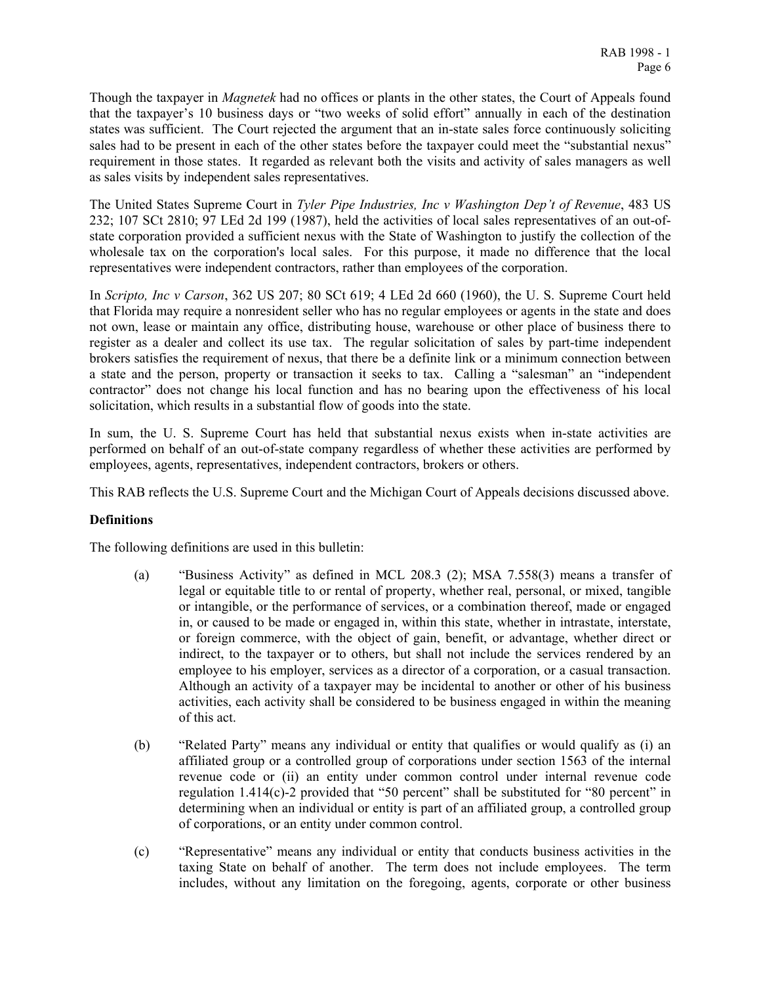Though the taxpayer in *Magnetek* had no offices or plants in the other states, the Court of Appeals found that the taxpayer's 10 business days or "two weeks of solid effort" annually in each of the destination states was sufficient. The Court rejected the argument that an in-state sales force continuously soliciting sales had to be present in each of the other states before the taxpayer could meet the "substantial nexus" requirement in those states. It regarded as relevant both the visits and activity of sales managers as well as sales visits by independent sales representatives.

The United States Supreme Court in *Tyler Pipe Industries, Inc v Washington Dep't of Revenue*, 483 US 232; 107 SCt 2810; 97 LEd 2d 199 (1987), held the activities of local sales representatives of an out-ofstate corporation provided a sufficient nexus with the State of Washington to justify the collection of the wholesale tax on the corporation's local sales. For this purpose, it made no difference that the local representatives were independent contractors, rather than employees of the corporation.

In *Scripto, Inc v Carson*, 362 US 207; 80 SCt 619; 4 LEd 2d 660 (1960), the U. S. Supreme Court held that Florida may require a nonresident seller who has no regular employees or agents in the state and does not own, lease or maintain any office, distributing house, warehouse or other place of business there to register as a dealer and collect its use tax. The regular solicitation of sales by part-time independent brokers satisfies the requirement of nexus, that there be a definite link or a minimum connection between a state and the person, property or transaction it seeks to tax. Calling a "salesman" an "independent contractor" does not change his local function and has no bearing upon the effectiveness of his local solicitation, which results in a substantial flow of goods into the state.

In sum, the U. S. Supreme Court has held that substantial nexus exists when in-state activities are performed on behalf of an out-of-state company regardless of whether these activities are performed by employees, agents, representatives, independent contractors, brokers or others.

This RAB reflects the U.S. Supreme Court and the Michigan Court of Appeals decisions discussed above.

# **Definitions**

The following definitions are used in this bulletin:

- (a) "Business Activity" as defined in MCL 208.3 (2); MSA 7.558(3) means a transfer of legal or equitable title to or rental of property, whether real, personal, or mixed, tangible or intangible, or the performance of services, or a combination thereof, made or engaged in, or caused to be made or engaged in, within this state, whether in intrastate, interstate, or foreign commerce, with the object of gain, benefit, or advantage, whether direct or indirect, to the taxpayer or to others, but shall not include the services rendered by an employee to his employer, services as a director of a corporation, or a casual transaction. Although an activity of a taxpayer may be incidental to another or other of his business activities, each activity shall be considered to be business engaged in within the meaning of this act.
- (b) "Related Party" means any individual or entity that qualifies or would qualify as (i) an affiliated group or a controlled group of corporations under section 1563 of the internal revenue code or (ii) an entity under common control under internal revenue code regulation 1.414(c)-2 provided that "50 percent" shall be substituted for "80 percent" in determining when an individual or entity is part of an affiliated group, a controlled group of corporations, or an entity under common control.
- (c) "Representative" means any individual or entity that conducts business activities in the taxing State on behalf of another. The term does not include employees. The term includes, without any limitation on the foregoing, agents, corporate or other business